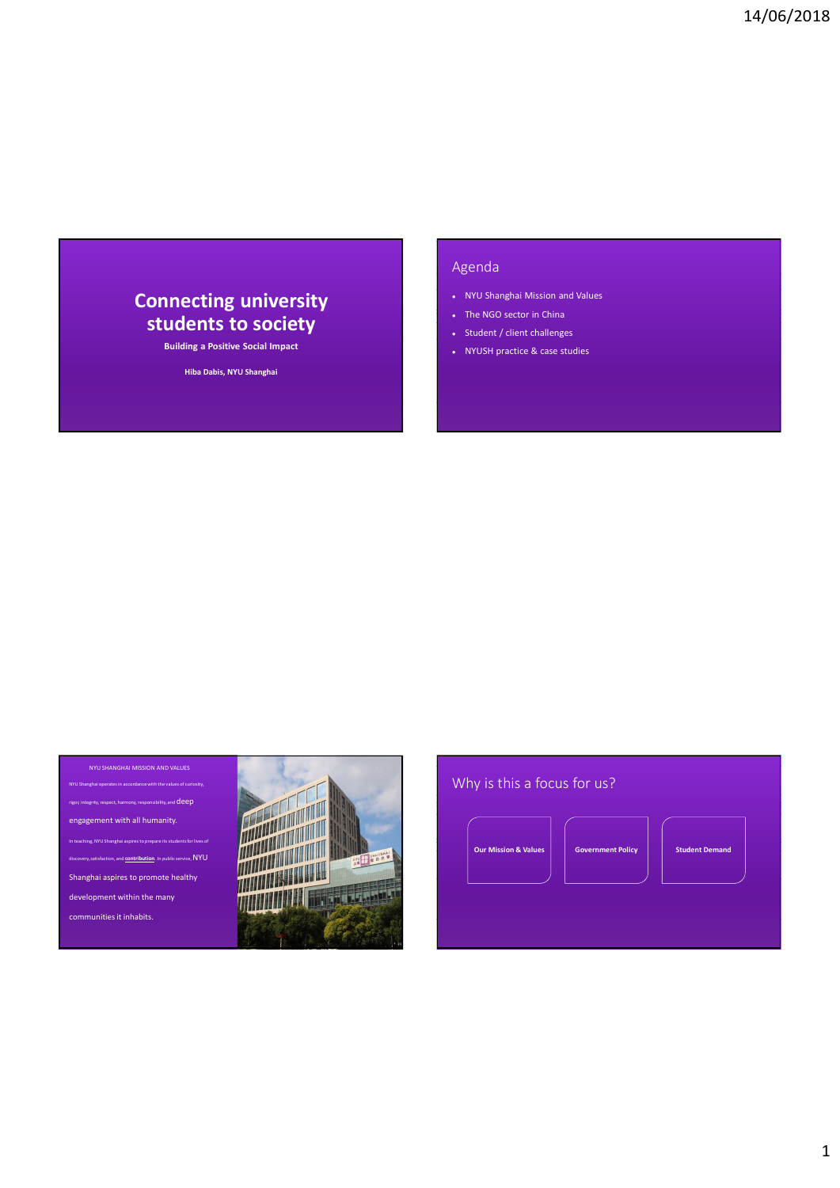# Connecting university students to society<br>
Students to society<br>
Student / client challenges

Building a Positive Social Impact<br> **Building a Positive Social Impact**<br> **Building a Positive Social Impact** 

Hiba Dabis, NYU Shanghai

## Agenda

- NYU Shanghai Mission and Values **14/06/2018**<br>
Agenda<br>
• NYU Shanghai Mission and Values<br>
• The NGO sector in China<br>
• Student / client challenges<br>
• NYUSH practice & case studies
- 
- 
- 

| NYU SHANGHAI MISSION AND VALUES<br>NYU Shanghai operates in accordance with the values of curiosity,                                                |                  | Why is this a focus for us?                                                          |
|-----------------------------------------------------------------------------------------------------------------------------------------------------|------------------|--------------------------------------------------------------------------------------|
| rigor, integrity, respect, harmony, responsibility, and $\mathsf{deep}$<br>engagement with all humanity.                                            |                  |                                                                                      |
| In teaching, NYU Shanghai aspires to prepare its students for lives of<br>discovery, satisfaction, and <b>contribution</b> . In public service, NYU | <b>ENGINEERS</b> | <b>Our Mission &amp; Values</b><br><b>Government Policy</b><br><b>Student Demand</b> |
| Shanghai aspires to promote healthy                                                                                                                 |                  |                                                                                      |
| development within the many                                                                                                                         |                  |                                                                                      |
| communities it inhabits.                                                                                                                            |                  |                                                                                      |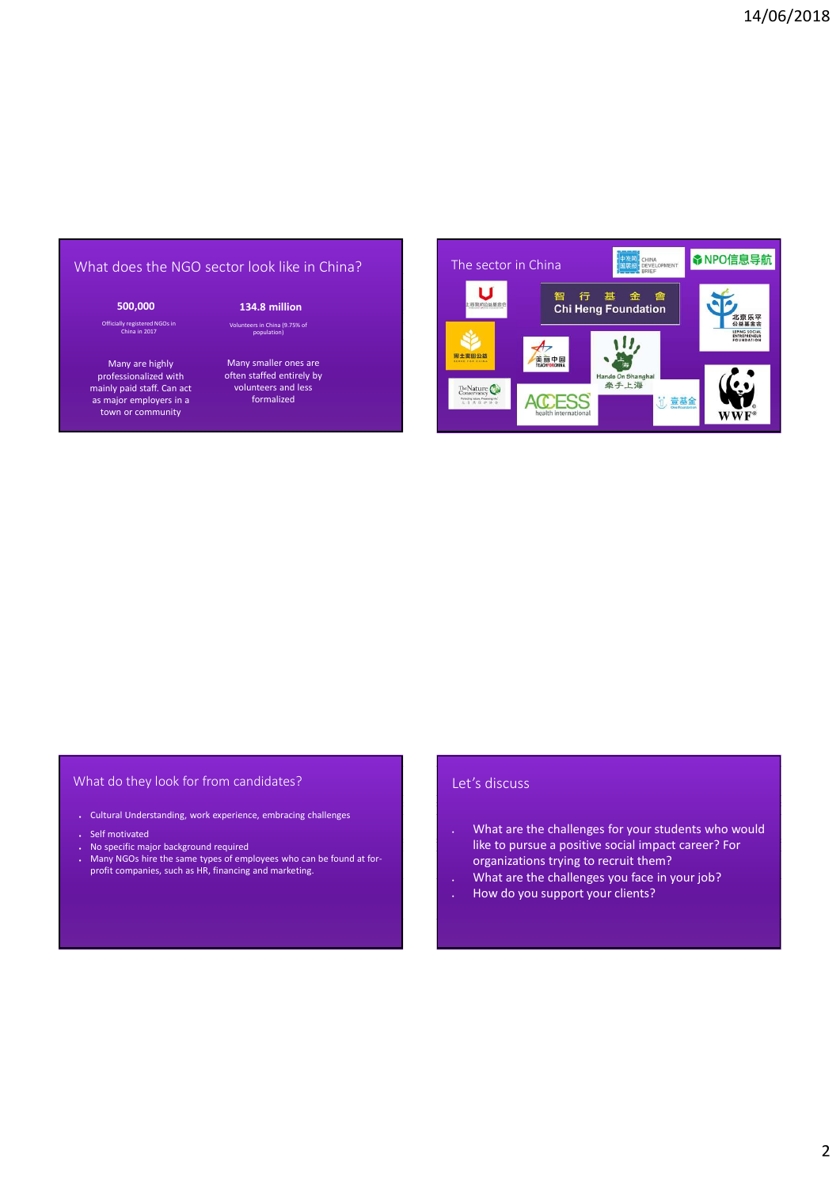Officially registered NGOs in China in 2017

Many are highly professionalized with mainly paid staff. Can act volunteers and<br>as major employers in a state of formalized as major employers in a town or community

ers in China (9.75% of<br>population)

Many smaller ones are often staffed entirely by volunteers and less



### What do they look for from candidates?

- Cultural Understanding, work experience, embracing challenges
- Self motivated
- No specific major background required
- Many NGOs hire the same types of employees who can be found at forprofit companies, such as HR, financing and marketing.

### Let's discuss

- . What are the challenges for your students who would like to pursue a positive social impact career? For corganizations trying to recruit them? <br>
What are the challenges for your students who would<br>
like to pursue a positive social impact career? For<br>
organizations trying to recruit them?<br>
What are the challenges you face in
- 
-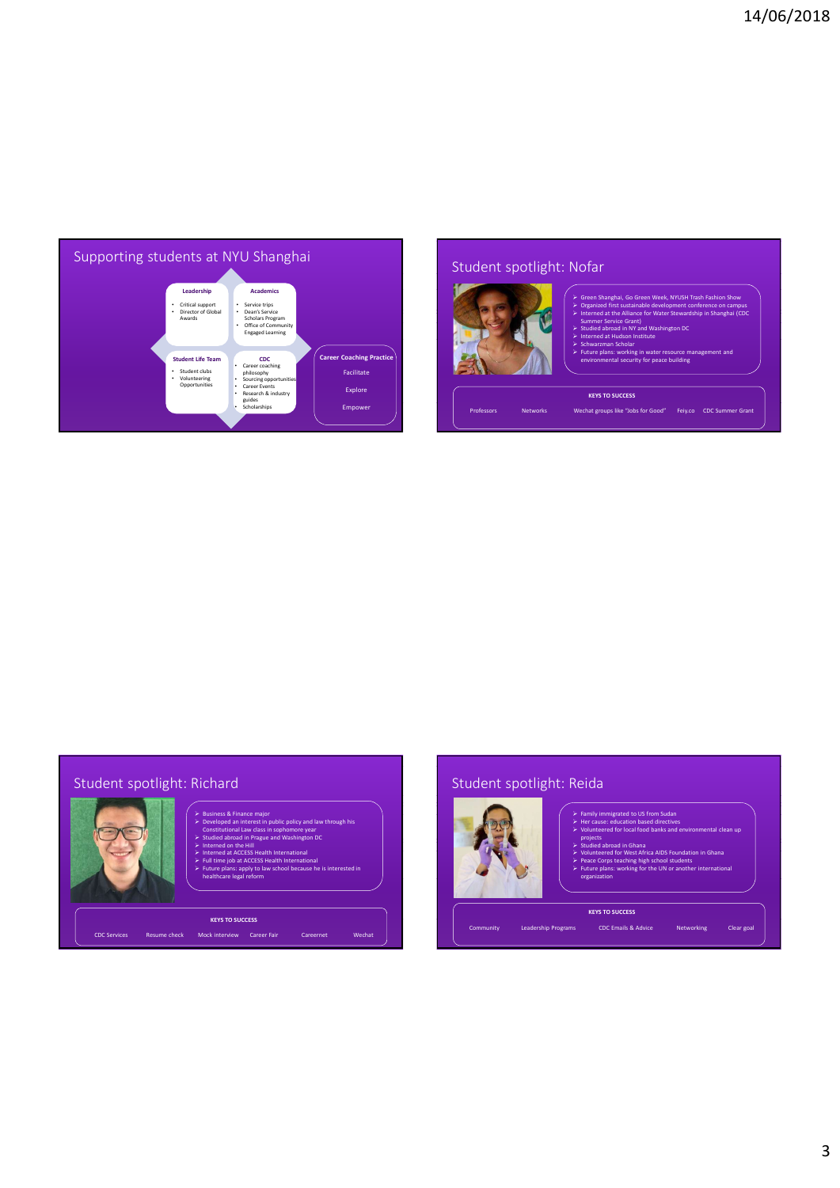

# Student spotlight: Nofar



- $\triangleright$  Green Shanghai, Go Green Week, NYUSH Trash Fashion Show  $\vert$
- Organized first sustainable development conference on campus<br>Intermed at the Alliance for Water Stewardship in Shanghai (CDC)<br>Sundied abroad in NY and Washington DC<br>Intermed at Hudson Institute<br>Chinaram Hudson Institute
- $\triangleright$  Interned at the Alliance for Water Stewardship in Shanghai (CDC Summer Service Grant) vice Grant)<br>bad in NY and W
- $\triangleright$  Interned at Hudson Institute  $\blacksquare$
- → Schwarzman Scholar in the control of the control of the control of the control of the control of the control of the control of the control of the control of the control of the control of the control of the control of th
- ng in water resource n<br>Irity for peace building

# Student spotlight: Richard



# Business & Finance major<br>
Constitutional Law class in sophomore year and Developed an interest in public policy and law through his Constitutional Law class in sophomore year  $\blacksquare$ <br>
Constitutional Law class in sophomore y **Experiment on the Hill contract of the Hill contract of the Hill contract of the Hill contract of the Hill contract of the Hill contract of the Hill contract of the Hill contract of the Hill contract of the Hill contract**

- **ull time job at ACCESS He**<br>uture plans: apply to law
- Future plans: apply to law school because he is interested in healthcare legal reform and the content of the interested in healthcare legal reform organization

# Student spotlight: Reida



- 
- Family immigrated to US from Sudan<br>  $\triangleright$  Her cause: education based directives<br>  $\triangleright$  Volunteered for local food banks and environmental clean up<br>  $\triangleright$  projects

- $\triangleright$  Studied abroad in Ghana **Volution and Studies about Algebra**  $\triangleright$  Volunteered for West Africa AIDS Foundation in Ghana
- **Peace Corps teaching high school students**  $\triangleright$  **Future plans: working for the UN or another international organization**